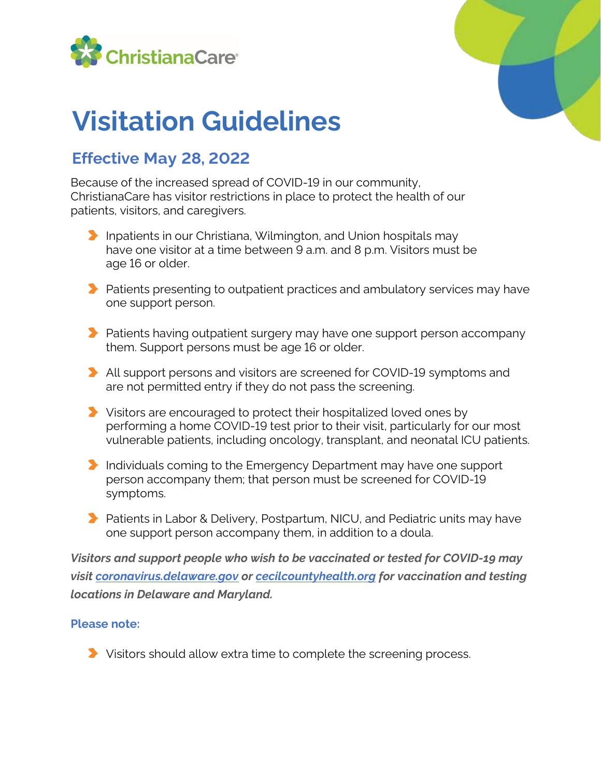



## **Visitation Guidelines**

## **Effective May 28, 2022**

Because of the increased spread of COVID-19 in our community, ChristianaCare has visitor restrictions in place to protect the health of our patients, visitors, and caregivers.

- **Inpatients in our Christiana, Wilmington, and Union hospitals may** have one visitor at a time between 9 a.m. and 8 p.m. Visitors must be age 16 or older.
- $\blacktriangleright$  Patients presenting to outpatient practices and ambulatory services may have one support person.
- **Patients having outpatient surgery may have one support person accompany** them. Support persons must be age 16 or older.
- All support persons and visitors are screened for COVID-19 symptoms and are not permitted entry if they do not pass the screening.
- Visitors are encouraged to protect their hospitalized loved ones by performing a home COVID-19 test prior to their visit, particularly for our most vulnerable patients, including oncology, transplant, and neonatal ICU patients.
- Individuals coming to the Emergency Department may have one support person accompany them; that person must be screened for COVID-19 symptoms.
- **Patients in Labor & Delivery, Postpartum, NICU, and Pediatric units may have** one support person accompany them, in addition to a doula.

*Visitors and support people who wish to be vaccinated or tested for COVID-19 may visit [coronavirus.delaware.gov](https://coronavirus.delaware.gov/) or [cecilcountyhealth.org](https://cecilcountyhealth.org/) for vaccination and testing locations in Delaware and Maryland.*

## **Please note:**

Visitors should allow extra time to complete the screening process.